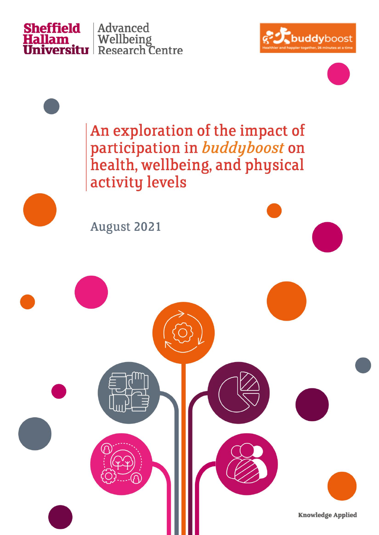





An exploration of the impact of participation in buddyboost on health, wellbeing, and physical activity levels

August 2021

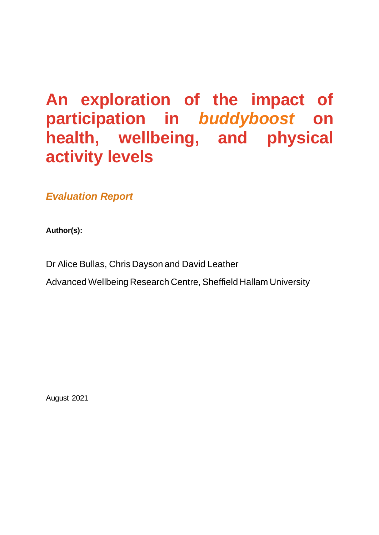### **An exploration of the impact of participation in** *buddyboost* **on health, wellbeing, and physical activity levels**

*Evaluation Report*

**Author(s):**

Dr Alice Bullas, Chris Dayson and David Leather

Advanced Wellbeing Research Centre, Sheffield Hallam University

August 2021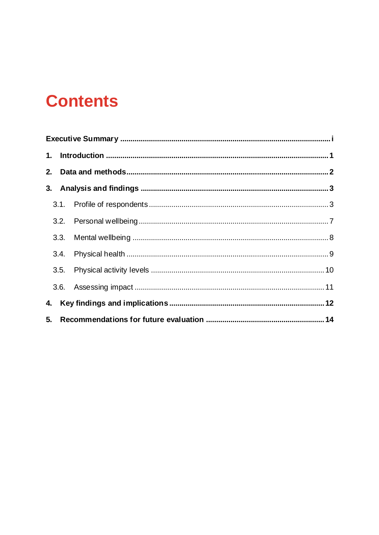## **Contents**

| 4. |  |  |  |
|----|--|--|--|
|    |  |  |  |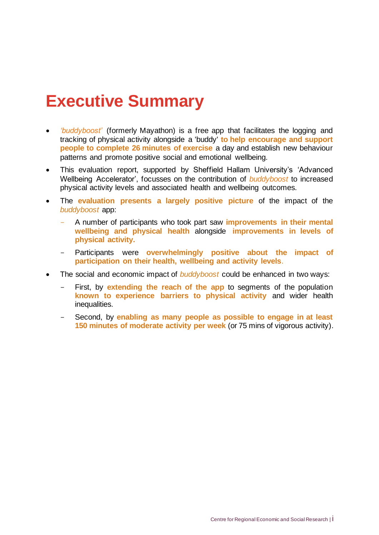### <span id="page-3-0"></span>**Executive Summary**

- *'buddyboost'* (formerly Mayathon) is a free app that facilitates the logging and tracking of physical activity alongside a 'buddy' **to help encourage and support people to complete 26 minutes of exercise** a day and establish new behaviour patterns and promote positive social and emotional wellbeing.
- This evaluation report, supported by Sheffield Hallam University's 'Advanced Wellbeing Accelerator', focusses on the contribution of *buddyboost* to increased physical activity levels and associated health and wellbeing outcomes.
- The **evaluation presents a largely positive picture** of the impact of the *buddyboost* app:
	- A number of participants who took part saw **improvements in their mental wellbeing and physical health** alongside **improvements in levels of physical activity.**
	- Participants were **overwhelmingly positive about the impact of participation on their health, wellbeing and activity levels**.
- The social and economic impact of *buddyboost* could be enhanced in two ways:
	- First, by **extending the reach of the app** to segments of the population **known to experience barriers to physical activity** and wider health inequalities.
	- Second, by **enabling as many people as possible to engage in at least 150 minutes of moderate activity per week** (or 75 mins of vigorous activity).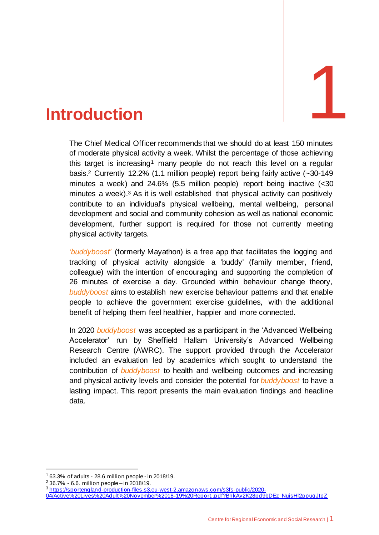# <span id="page-4-0"></span>1. **Introduction** 1

The Chief Medical Officer recommends that we should do at least 150 minutes of moderate physical activity a week. Whilst the percentage of those achieving this target is increasing<sup>1</sup> many people do not reach this level on a regular basis. <sup>2</sup> Currently 12.2% (1.1 million people) report being fairly active (~30-149 minutes a week) and 24.6% (5.5 million people) report being inactive (<30 minutes a week).<sup>3</sup> As it is well established that physical activity can positively contribute to an individual's physical wellbeing, mental wellbeing, personal development and social and community cohesion as well as national economic development, further support is required for those not currently meeting physical activity targets.

*'buddyboost'* (formerly Mayathon) is a free app that facilitates the logging and tracking of physical activity alongside a 'buddy' (family member, friend, colleague) with the intention of encouraging and supporting the completion of 26 minutes of exercise a day. Grounded within behaviour change theory, *buddyboost* aims to establish new exercise behaviour patterns and that enable people to achieve the government exercise guidelines, with the additional benefit of helping them feel healthier, happier and more connected.

In 2020 *buddyboost* was accepted as a participant in the 'Advanced Wellbeing Accelerator' run by Sheffield Hallam University's Advanced Wellbeing Research Centre (AWRC). The support provided through the Accelerator included an evaluation led by academics which sought to understand the contribution of *buddyboost* to health and wellbeing outcomes and increasing and physical activity levels and consider the potential for *buddyboost* to have a lasting impact. This report presents the main evaluation findings and headline data.

<sup>3</sup> [https://sportengland-production-files.s3.eu-west-2.amazonaws.com/s3fs-public/2020-](https://sportengland-production-files.s3.eu-west-2.amazonaws.com/s3fs-public/2020-04/Active%20Lives%20Adult%20November%2018-19%20Report..pdf?BhkAy2K28pd9bDEz_NuisHl2ppuqJtpZ) [04/Active%20Lives%20Adult%20November%2018-19%20Report..pdf?BhkAy2K28pd9bDEz\\_NuisHl2ppuqJtpZ](https://sportengland-production-files.s3.eu-west-2.amazonaws.com/s3fs-public/2020-04/Active%20Lives%20Adult%20November%2018-19%20Report..pdf?BhkAy2K28pd9bDEz_NuisHl2ppuqJtpZ)

<sup>1</sup> 63.3% of adults - 28.6 million people - in 2018/19.

 $236.7\%$  - 6.6. million people – in 2018/19.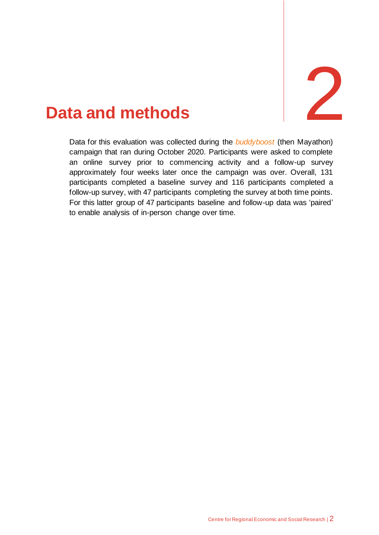<span id="page-5-0"></span>

Data for this evaluation was collected during the *buddyboost* (then Mayathon) campaign that ran during October 2020. Participants were asked to complete an online survey prior to commencing activity and a follow-up survey approximately four weeks later once the campaign was over. Overall, 131 participants completed a baseline survey and 116 participants completed a follow-up survey, with 47 participants completing the survey at both time points. For this latter group of 47 participants baseline and follow-up data was 'paired' to enable analysis of in-person change over time.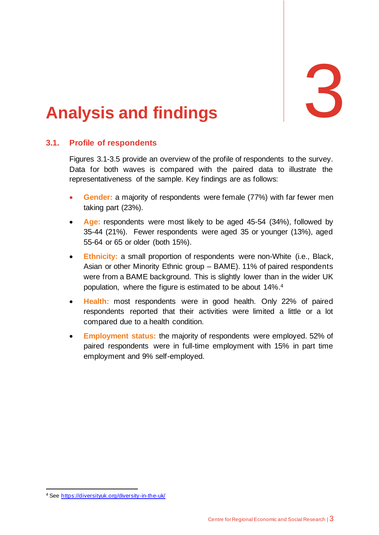

# <span id="page-6-0"></span>Analysis and findings

#### <span id="page-6-1"></span>**3.1. Profile of respondents**

Figures 3.1-3.5 provide an overview of the profile of respondents to the survey. Data for both waves is compared with the paired data to illustrate the representativeness of the sample. Key findings are as follows:

- **Gender:** a majority of respondents were female (77%) with far fewer men taking part (23%).
- Age: respondents were most likely to be aged 45-54 (34%), followed by 35-44 (21%). Fewer respondents were aged 35 or younger (13%), aged 55-64 or 65 or older (both 15%).
- **Ethnicity:** a small proportion of respondents were non-White (i.e., Black, Asian or other Minority Ethnic group – BAME). 11% of paired respondents were from a BAME background. This is slightly lower than in the wider UK population, where the figure is estimated to be about 14%. 4
- **Health:** most respondents were in good health. Only 22% of paired respondents reported that their activities were limited a little or a lot compared due to a health condition.
- **Employment status:** the majority of respondents were employed. 52% of paired respondents were in full-time employment with 15% in part time employment and 9% self-employed.

<sup>4</sup> See<https://diversityuk.org/diversity-in-the-uk/>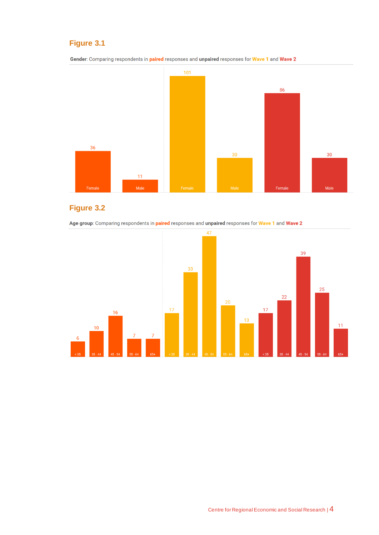#### **Figure 3.1**





#### **Figure 3.2**

Age group: Comparing respondents in paired responses and unpaired responses for Wave 1 and Wave 2

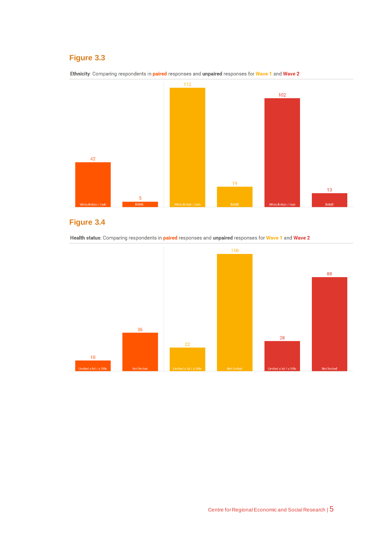#### **Figure 3.3**



Ethnicity: Comparing respondents in paired responses and unpaired responses for Wave 1 and Wave 2

#### **Figure 3.4**



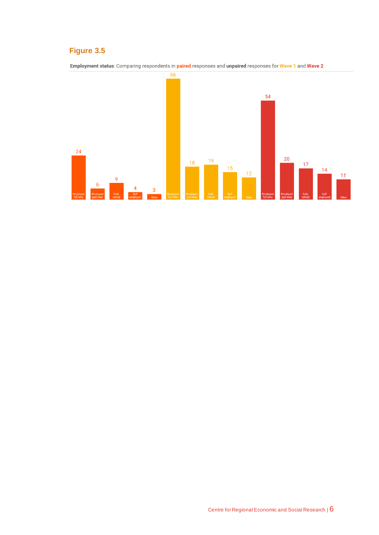#### **Figure 3.5**

Employment status: Comparing respondents in paired responses and unpaired responses for Wave 1 and Wave 2

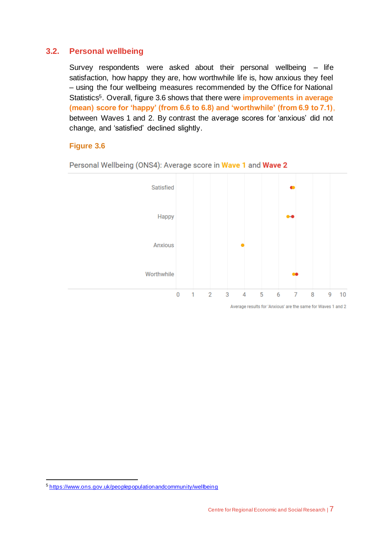#### <span id="page-10-0"></span>**3.2. Personal wellbeing**

Survey respondents were asked about their personal wellbeing – life satisfaction, how happy they are, how worthwhile life is, how anxious they feel – using the four wellbeing measures recommended by the Office for National Statistics5. Overall, figure 3.6 shows that there were **improvements in average (mean) score for 'happy' (from 6.6 to 6.8) and 'worthwhile' (from 6.9 to 7.1)**, between Waves 1 and 2. By contrast the average scores for 'anxious' did not change, and 'satisfied' declined slightly.

#### **Figure 3.6**



Personal Wellbeing (ONS4): Average score in Wave 1 and Wave 2

<sup>5</sup> <https://www.ons.gov.uk/peoplepopulationandcommunity/wellbeing>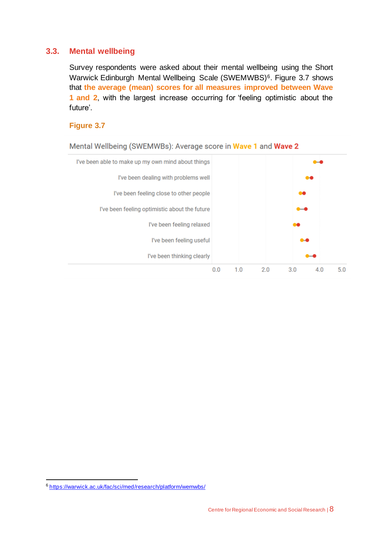#### <span id="page-11-0"></span>**3.3. Mental wellbeing**

Survey respondents were asked about their mental wellbeing using the Short Warwick Edinburgh Mental Wellbeing Scale (SWEMWBS)<sup>6</sup>. Figure 3.7 shows that **the average (mean) scores for all measures improved between Wave 1 and 2**, with the largest increase occurring for 'feeling optimistic about the future'.

#### **Figure 3.7**



<sup>6</sup> <https://warwick.ac.uk/fac/sci/med/research/platform/wemwbs/>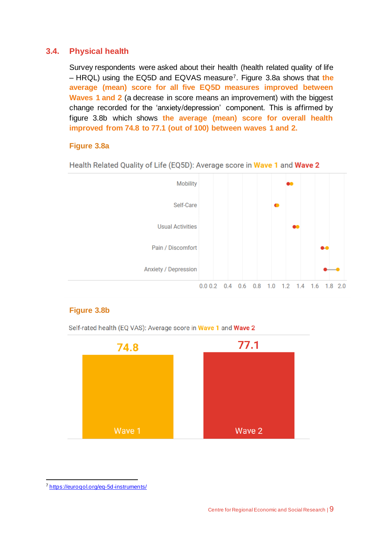#### <span id="page-12-0"></span>**3.4. Physical health**

Survey respondents were asked about their health (health related quality of life – HRQL) using the EQ5D and EQVAS measure7. Figure 3.8a shows that **the average (mean) score for all five EQ5D measures improved between Waves 1 and 2** (a decrease in score means an improvement) with the biggest change recorded for the 'anxiety/depression' component. This is affirmed by figure 3.8b which shows **the average (mean) score for overall health improved from 74.8 to 77.1 (out of 100) between waves 1 and 2.**

#### **Figure 3.8a**



Health Related Quality of Life (EQ5D): Average score in Wave 1 and Wave 2

#### **Figure 3.8b**



Self-rated health (EQ VAS): Average score in Wave 1 and Wave 2

<sup>7</sup> <https://euroqol.org/eq-5d-instruments/>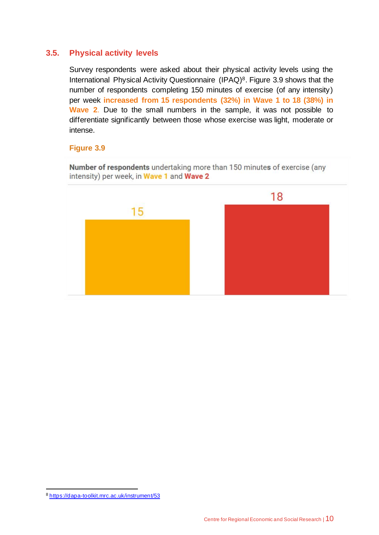#### <span id="page-13-0"></span>**3.5. Physical activity levels**

Survey respondents were asked about their physical activity levels using the International Physical Activity Questionnaire (IPAQ)<sup>8</sup>. Figure 3.9 shows that the number of respondents completing 150 minutes of exercise (of any intensity) per week **increased from 15 respondents (32%) in Wave 1 to 18 (38%) in Wave 2**. Due to the small numbers in the sample, it was not possible to differentiate significantly between those whose exercise was light, moderate or intense.

#### **Figure 3.9**

Number of respondents undertaking more than 150 minutes of exercise (any intensity) per week, in Wave 1 and Wave 2



<sup>8</sup> <https://dapa-toolkit.mrc.ac.uk/instrument/53>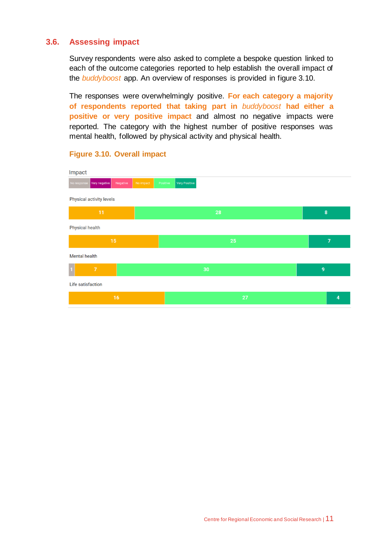#### <span id="page-14-0"></span>**3.6. Assessing impact**

Survey respondents were also asked to complete a bespoke question linked to each of the outcome categories reported to help establish the overall impact of the *buddyboost* app. An overview of responses is provided in figure 3.10.

The responses were overwhelmingly positive. **For each category a majority of respondents reported that taking part in** *buddyboost* **had either a positive or very positive impact** and almost no negative impacts were reported. The category with the highest number of positive responses was mental health, followed by physical activity and physical health.



#### **Figure 3.10. Overall impact**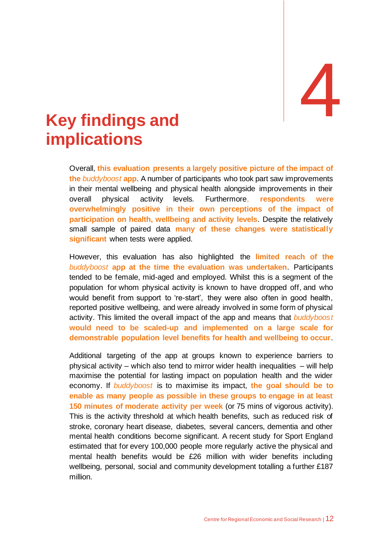# <span id="page-15-0"></span>**Key findings and**  $\begin{array}{|c|c|} \hline \hline \hline \hline \hline \hline \end{array}$

## **implications**

Overall, **this evaluation presents a largely positive picture of the impact of the** *buddyboost* **app**. A number of participants who took part saw improvements in their mental wellbeing and physical health alongside improvements in their overall physical activity levels. Furthermore, **respondents were overwhelmingly positive in their own perceptions of the impact of participation on health, wellbeing and activity levels**. Despite the relatively small sample of paired data **many of these changes were statistically significant** when tests were applied.

However, this evaluation has also highlighted the **limited reach of the**  *buddyboost* **app at the time the evaluation was undertaken**. Participants tended to be female, mid-aged and employed. Whilst this is a segment of the population for whom physical activity is known to have dropped off, and who would benefit from support to 're-start', they were also often in good health, reported positive wellbeing, and were already involved in some form of physical activity. This limited the overall impact of the app and means that *buddyboost* **would need to be scaled-up and implemented on a large scale for demonstrable population level benefits for health and wellbeing to occur**.

Additional targeting of the app at groups known to experience barriers to physical activity – which also tend to mirror wider health inequalities – will help maximise the potential for lasting impact on population health and the wider economy. If *buddyboost* is to maximise its impact, **the goal should be to enable as many people as possible in these groups to engage in at least 150 minutes of moderate activity per week** (or 75 mins of vigorous activity). This is the activity threshold at which health benefits, such as reduced risk of stroke, coronary heart disease, diabetes, several cancers, dementia and other mental health conditions become significant. A recent study for Sport England estimated that for every 100,000 people more regularly active the physical and mental health benefits would be £26 million with wider benefits including wellbeing, personal, social and community development totalling a further £187 million.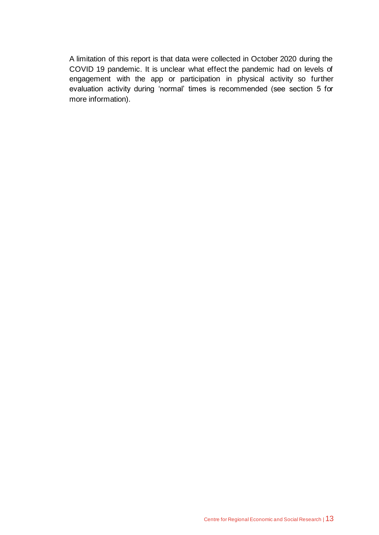A limitation of this report is that data were collected in October 2020 during the COVID 19 pandemic. It is unclear what effect the pandemic had on levels of engagement with the app or participation in physical activity so further evaluation activity during 'normal' times is recommended (see section 5 for more information).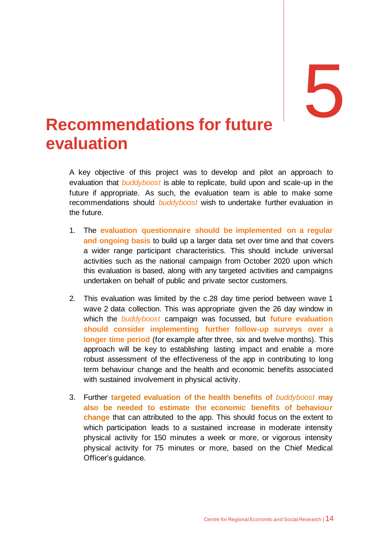## <span id="page-17-0"></span>Recommendations for future **evaluation**

A key objective of this project was to develop and pilot an approach to evaluation that *buddyboost* is able to replicate, build upon and scale-up in the future if appropriate. As such, the evaluation team is able to make some recommendations should *buddyboost* wish to undertake further evaluation in the future.

- 1. The **evaluation questionnaire should be implemented on a regular and ongoing basis** to build up a larger data set over time and that covers a wider range participant characteristics. This should include universal activities such as the national campaign from October 2020 upon which this evaluation is based, along with any targeted activities and campaigns undertaken on behalf of public and private sector customers.
- 2. This evaluation was limited by the c.28 day time period between wave 1 wave 2 data collection. This was appropriate given the 26 day window in which the *buddyboost* campaign was focussed, but **future evaluation should consider implementing further follow-up surveys over a longer time period** (for example after three, six and twelve months). This approach will be key to establishing lasting impact and enable a more robust assessment of the effectiveness of the app in contributing to long term behaviour change and the health and economic benefits associated with sustained involvement in physical activity.
- 3. Further **targeted evaluation of the health benefits of** *buddyboost* **may also be needed to estimate the economic benefits of behaviour change** that can attributed to the app. This should focus on the extent to which participation leads to a sustained increase in moderate intensity physical activity for 150 minutes a week or more, or vigorous intensity physical activity for 75 minutes or more, based on the Chief Medical Officer's guidance.